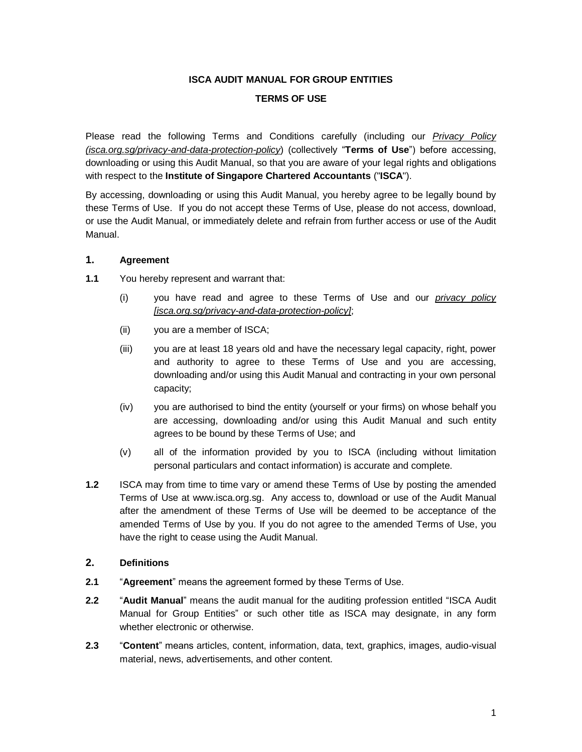# **ISCA AUDIT MANUAL FOR GROUP ENTITIES**

### **TERMS OF USE**

Please read the following Terms and Conditions carefully (including our *Privacy Policy (isca.org.sg/privacy-and-data-protection-policy*) (collectively "**Terms of Use**") before accessing, downloading or using this Audit Manual, so that you are aware of your legal rights and obligations with respect to the **Institute of Singapore Chartered Accountants** ("**ISCA**").

By accessing, downloading or using this Audit Manual, you hereby agree to be legally bound by these Terms of Use. If you do not accept these Terms of Use, please do not access, download, or use the Audit Manual, or immediately delete and refrain from further access or use of the Audit Manual.

## **1. Agreement**

- **1.1** You hereby represent and warrant that:
	- (i) you have read and agree to these Terms of Use and our *privacy policy [isca.org.sg/privacy-and-data-protection-policy]*;
	- (ii) you are a member of ISCA;
	- (iii) you are at least 18 years old and have the necessary legal capacity, right, power and authority to agree to these Terms of Use and you are accessing, downloading and/or using this Audit Manual and contracting in your own personal capacity;
	- (iv) you are authorised to bind the entity (yourself or your firms) on whose behalf you are accessing, downloading and/or using this Audit Manual and such entity agrees to be bound by these Terms of Use; and
	- (v) all of the information provided by you to ISCA (including without limitation personal particulars and contact information) is accurate and complete.
- **1.2** ISCA may from time to time vary or amend these Terms of Use by posting the amended Terms of Use at www.isca.org.sg. Any access to, download or use of the Audit Manual after the amendment of these Terms of Use will be deemed to be acceptance of the amended Terms of Use by you. If you do not agree to the amended Terms of Use, you have the right to cease using the Audit Manual.

# **2. Definitions**

- **2.1** "**Agreement**" means the agreement formed by these Terms of Use.
- **2.2** "**Audit Manual**" means the audit manual for the auditing profession entitled "ISCA Audit Manual for Group Entities" or such other title as ISCA may designate, in any form whether electronic or otherwise.
- **2.3** "**Content**" means articles, content, information, data, text, graphics, images, audio-visual material, news, advertisements, and other content.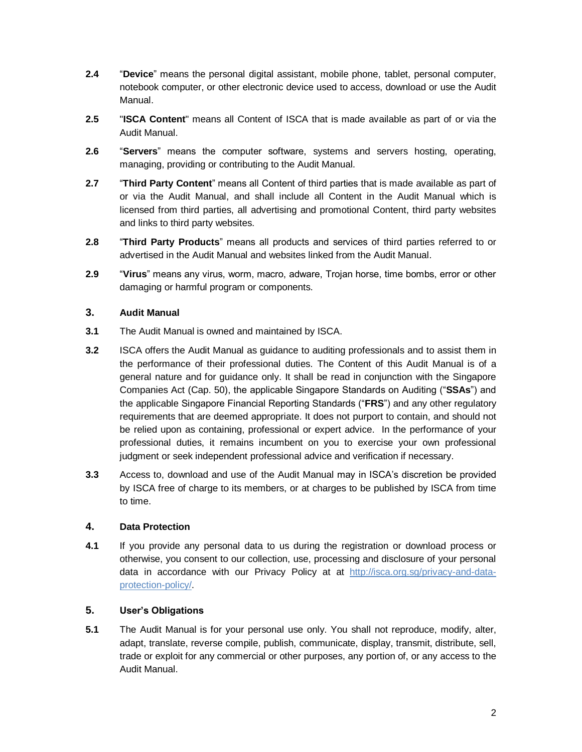- **2.4** "**Device**" means the personal digital assistant, mobile phone, tablet, personal computer, notebook computer, or other electronic device used to access, download or use the Audit Manual.
- **2.5** "**ISCA Content**" means all Content of ISCA that is made available as part of or via the Audit Manual.
- **2.6** "**Servers**" means the computer software, systems and servers hosting, operating, managing, providing or contributing to the Audit Manual.
- **2.7** "**Third Party Content**" means all Content of third parties that is made available as part of or via the Audit Manual, and shall include all Content in the Audit Manual which is licensed from third parties, all advertising and promotional Content, third party websites and links to third party websites.
- **2.8** "**Third Party Products**" means all products and services of third parties referred to or advertised in the Audit Manual and websites linked from the Audit Manual.
- **2.9** "**Virus**" means any virus, worm, macro, adware, Trojan horse, time bombs, error or other damaging or harmful program or components.

# **3. Audit Manual**

- **3.1** The Audit Manual is owned and maintained by ISCA.
- **3.2** ISCA offers the Audit Manual as guidance to auditing professionals and to assist them in the performance of their professional duties. The Content of this Audit Manual is of a general nature and for guidance only. It shall be read in conjunction with the Singapore Companies Act (Cap. 50), the applicable Singapore Standards on Auditing ("**SSAs**") and the applicable Singapore Financial Reporting Standards ("**FRS**") and any other regulatory requirements that are deemed appropriate. It does not purport to contain, and should not be relied upon as containing, professional or expert advice. In the performance of your professional duties, it remains incumbent on you to exercise your own professional judgment or seek independent professional advice and verification if necessary.
- **3.3** Access to, download and use of the Audit Manual may in ISCA's discretion be provided by ISCA free of charge to its members, or at charges to be published by ISCA from time to time.

# **4. Data Protection**

**4.1** If you provide any personal data to us during the registration or download process or otherwise, you consent to our collection, use, processing and disclosure of your personal data in accordance with our Privacy Policy at at http://isca.org.sg/privacy-and-dataprotection-policy/.

# **5. User's Obligations**

<span id="page-1-0"></span>**5.1** The Audit Manual is for your personal use only. You shall not reproduce, modify, alter, adapt, translate, reverse compile, publish, communicate, display, transmit, distribute, sell, trade or exploit for any commercial or other purposes, any portion of, or any access to the Audit Manual.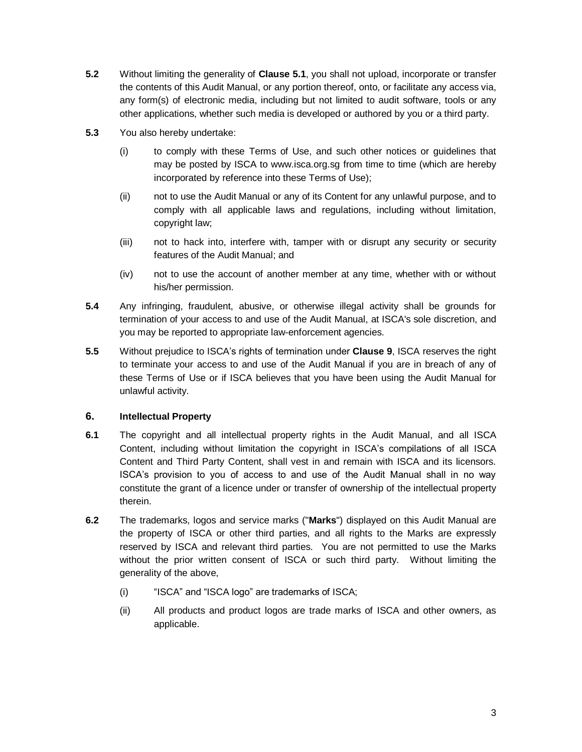- **5.2** Without limiting the generality of **Clause [5.1](#page-1-0)**, you shall not upload, incorporate or transfer the contents of this Audit Manual, or any portion thereof, onto, or facilitate any access via, any form(s) of electronic media, including but not limited to audit software, tools or any other applications, whether such media is developed or authored by you or a third party.
- **5.3** You also hereby undertake:
	- (i) to comply with these Terms of Use, and such other notices or guidelines that may be posted by ISCA to www.isca.org.sg from time to time (which are hereby incorporated by reference into these Terms of Use);
	- (ii) not to use the Audit Manual or any of its Content for any unlawful purpose, and to comply with all applicable laws and regulations, including without limitation, copyright law;
	- (iii) not to hack into, interfere with, tamper with or disrupt any security or security features of the Audit Manual; and
	- (iv) not to use the account of another member at any time, whether with or without his/her permission.
- **5.4** Any infringing, fraudulent, abusive, or otherwise illegal activity shall be grounds for termination of your access to and use of the Audit Manual, at ISCA's sole discretion, and you may be reported to appropriate law-enforcement agencies.
- **5.5** Without prejudice to ISCA's rights of termination under **Claus[e 9](#page-4-0)**, ISCA reserves the right to terminate your access to and use of the Audit Manual if you are in breach of any of these Terms of Use or if ISCA believes that you have been using the Audit Manual for unlawful activity.

#### **6. Intellectual Property**

- **6.1** The copyright and all intellectual property rights in the Audit Manual, and all ISCA Content, including without limitation the copyright in ISCA's compilations of all ISCA Content and Third Party Content, shall vest in and remain with ISCA and its licensors. ISCA's provision to you of access to and use of the Audit Manual shall in no way constitute the grant of a licence under or transfer of ownership of the intellectual property therein.
- **6.2** The trademarks, logos and service marks ("**Marks**") displayed on this Audit Manual are the property of ISCA or other third parties, and all rights to the Marks are expressly reserved by ISCA and relevant third parties. You are not permitted to use the Marks without the prior written consent of ISCA or such third party. Without limiting the generality of the above,
	- (i) "ISCA" and "ISCA logo" are trademarks of ISCA;
	- (ii) All products and product logos are trade marks of ISCA and other owners, as applicable.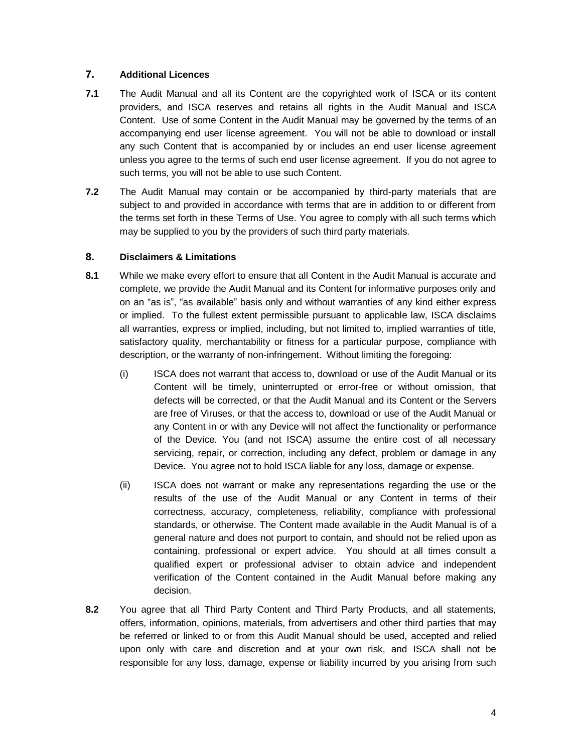## **7. Additional Licences**

- **7.1** The Audit Manual and all its Content are the copyrighted work of ISCA or its content providers, and ISCA reserves and retains all rights in the Audit Manual and ISCA Content. Use of some Content in the Audit Manual may be governed by the terms of an accompanying end user license agreement. You will not be able to download or install any such Content that is accompanied by or includes an end user license agreement unless you agree to the terms of such end user license agreement. If you do not agree to such terms, you will not be able to use such Content.
- **7.2** The Audit Manual may contain or be accompanied by third-party materials that are subject to and provided in accordance with terms that are in addition to or different from the terms set forth in these Terms of Use. You agree to comply with all such terms which may be supplied to you by the providers of such third party materials.

## **8. Disclaimers & Limitations**

- **8.1** While we make every effort to ensure that all Content in the Audit Manual is accurate and complete, we provide the Audit Manual and its Content for informative purposes only and on an "as is", "as available" basis only and without warranties of any kind either express or implied. To the fullest extent permissible pursuant to applicable law, ISCA disclaims all warranties, express or implied, including, but not limited to, implied warranties of title, satisfactory quality, merchantability or fitness for a particular purpose, compliance with description, or the warranty of non-infringement. Without limiting the foregoing:
	- (i) ISCA does not warrant that access to, download or use of the Audit Manual or its Content will be timely, uninterrupted or error-free or without omission, that defects will be corrected, or that the Audit Manual and its Content or the Servers are free of Viruses, or that the access to, download or use of the Audit Manual or any Content in or with any Device will not affect the functionality or performance of the Device. You (and not ISCA) assume the entire cost of all necessary servicing, repair, or correction, including any defect, problem or damage in any Device. You agree not to hold ISCA liable for any loss, damage or expense.
	- (ii) ISCA does not warrant or make any representations regarding the use or the results of the use of the Audit Manual or any Content in terms of their correctness, accuracy, completeness, reliability, compliance with professional standards, or otherwise. The Content made available in the Audit Manual is of a general nature and does not purport to contain, and should not be relied upon as containing, professional or expert advice. You should at all times consult a qualified expert or professional adviser to obtain advice and independent verification of the Content contained in the Audit Manual before making any decision.
- **8.2** You agree that all Third Party Content and Third Party Products, and all statements, offers, information, opinions, materials, from advertisers and other third parties that may be referred or linked to or from this Audit Manual should be used, accepted and relied upon only with care and discretion and at your own risk, and ISCA shall not be responsible for any loss, damage, expense or liability incurred by you arising from such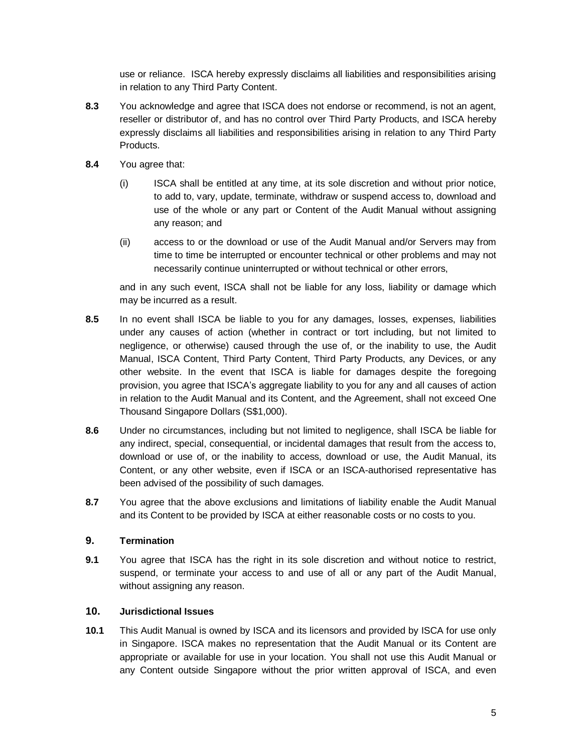use or reliance. ISCA hereby expressly disclaims all liabilities and responsibilities arising in relation to any Third Party Content.

- **8.3** You acknowledge and agree that ISCA does not endorse or recommend, is not an agent, reseller or distributor of, and has no control over Third Party Products, and ISCA hereby expressly disclaims all liabilities and responsibilities arising in relation to any Third Party Products.
- **8.4** You agree that:
	- (i) ISCA shall be entitled at any time, at its sole discretion and without prior notice, to add to, vary, update, terminate, withdraw or suspend access to, download and use of the whole or any part or Content of the Audit Manual without assigning any reason; and
	- (ii) access to or the download or use of the Audit Manual and/or Servers may from time to time be interrupted or encounter technical or other problems and may not necessarily continue uninterrupted or without technical or other errors,

and in any such event, ISCA shall not be liable for any loss, liability or damage which may be incurred as a result.

- **8.5** In no event shall ISCA be liable to you for any damages, losses, expenses, liabilities under any causes of action (whether in contract or tort including, but not limited to negligence, or otherwise) caused through the use of, or the inability to use, the Audit Manual, ISCA Content, Third Party Content, Third Party Products, any Devices, or any other website. In the event that ISCA is liable for damages despite the foregoing provision, you agree that ISCA's aggregate liability to you for any and all causes of action in relation to the Audit Manual and its Content, and the Agreement, shall not exceed One Thousand Singapore Dollars (S\$1,000).
- **8.6** Under no circumstances, including but not limited to negligence, shall ISCA be liable for any indirect, special, consequential, or incidental damages that result from the access to, download or use of, or the inability to access, download or use, the Audit Manual, its Content, or any other website, even if ISCA or an ISCA-authorised representative has been advised of the possibility of such damages.
- **8.7** You agree that the above exclusions and limitations of liability enable the Audit Manual and its Content to be provided by ISCA at either reasonable costs or no costs to you.

#### <span id="page-4-0"></span>**9. Termination**

**9.1** You agree that ISCA has the right in its sole discretion and without notice to restrict, suspend, or terminate your access to and use of all or any part of the Audit Manual, without assigning any reason.

#### **10. Jurisdictional Issues**

**10.1** This Audit Manual is owned by ISCA and its licensors and provided by ISCA for use only in Singapore. ISCA makes no representation that the Audit Manual or its Content are appropriate or available for use in your location. You shall not use this Audit Manual or any Content outside Singapore without the prior written approval of ISCA, and even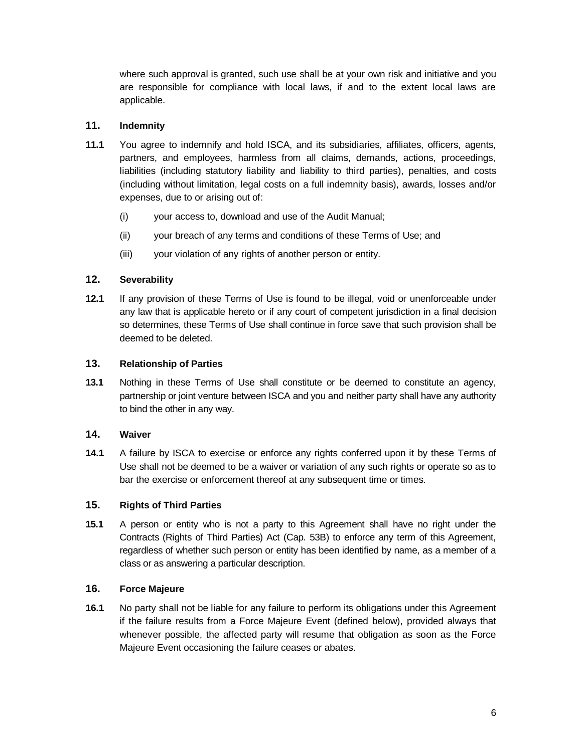where such approval is granted, such use shall be at your own risk and initiative and you are responsible for compliance with local laws, if and to the extent local laws are applicable.

## **11. Indemnity**

- **11.1** You agree to indemnify and hold ISCA, and its subsidiaries, affiliates, officers, agents, partners, and employees, harmless from all claims, demands, actions, proceedings, liabilities (including statutory liability and liability to third parties), penalties, and costs (including without limitation, legal costs on a full indemnity basis), awards, losses and/or expenses, due to or arising out of:
	- (i) your access to, download and use of the Audit Manual;
	- (ii) your breach of any terms and conditions of these Terms of Use; and
	- (iii) your violation of any rights of another person or entity.

## **12. Severability**

**12.1** If any provision of these Terms of Use is found to be illegal, void or unenforceable under any law that is applicable hereto or if any court of competent jurisdiction in a final decision so determines, these Terms of Use shall continue in force save that such provision shall be deemed to be deleted.

#### **13. Relationship of Parties**

**13.1** Nothing in these Terms of Use shall constitute or be deemed to constitute an agency, partnership or joint venture between ISCA and you and neither party shall have any authority to bind the other in any way.

#### **14. Waiver**

**14.1** A failure by ISCA to exercise or enforce any rights conferred upon it by these Terms of Use shall not be deemed to be a waiver or variation of any such rights or operate so as to bar the exercise or enforcement thereof at any subsequent time or times.

#### **15. Rights of Third Parties**

**15.1** A person or entity who is not a party to this Agreement shall have no right under the Contracts (Rights of Third Parties) Act (Cap. 53B) to enforce any term of this Agreement, regardless of whether such person or entity has been identified by name, as a member of a class or as answering a particular description.

#### **16. Force Majeure**

**16.1** No party shall not be liable for any failure to perform its obligations under this Agreement if the failure results from a Force Majeure Event (defined below), provided always that whenever possible, the affected party will resume that obligation as soon as the Force Majeure Event occasioning the failure ceases or abates.